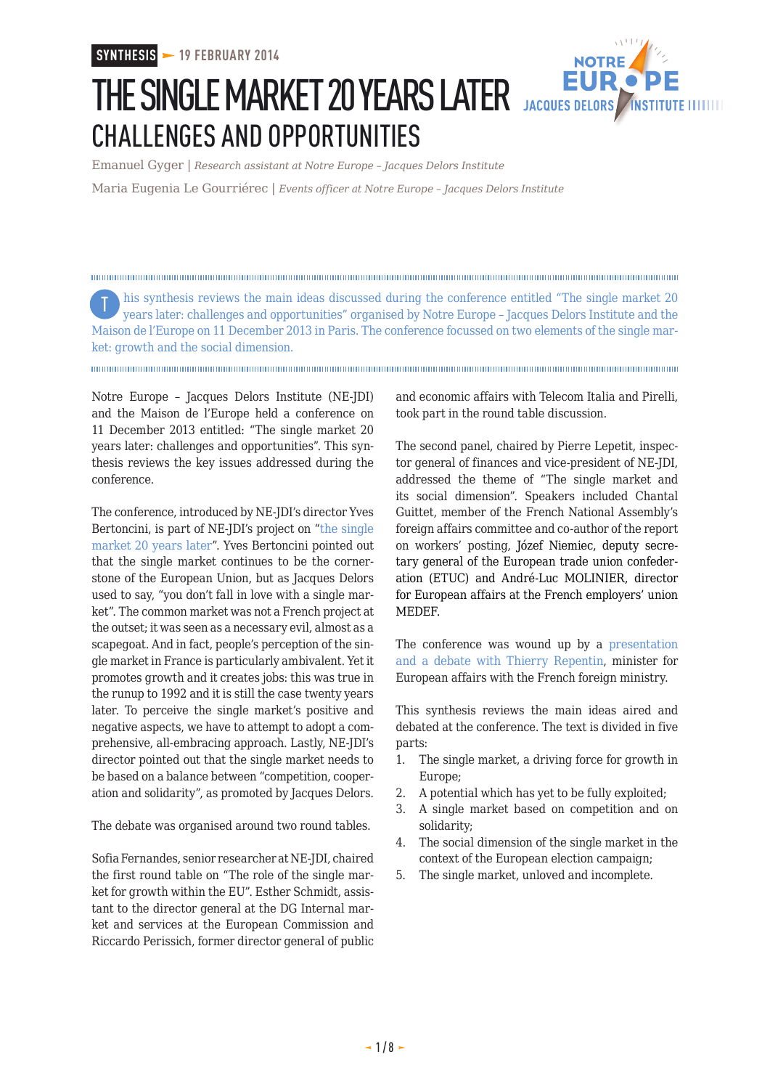

# THE SINGLE MARKET 20 YEARS LATER JACQUES DELORS CHALLENGES AND OPPORTUNITIES

Emanuel Gyger | *Research assistant at Notre Europe – Jacques Delors Institute*

Maria Eugenia Le Gourriérec | *Events officer at Notre Europe – Jacques Delors Institute*

his synthesis reviews the main ideas discussed during the conference entitled "The single market 20 Tyears later: challenges and opportunities" organised by Notre Europe – Jacques Delors Institute and the Maison de l'Europe on 11 December 2013 in Paris. The conference focussed on two elements of the single market: growth and the social dimension.

Notre Europe – Jacques Delors Institute (NE-JDI) and the Maison de l'Europe held a conference on 11 December 2013 entitled: "The single market 20 years later: challenges and opportunities". This synthesis reviews the key issues addressed during the conference.

The conference, introduced by NE-JDI's director Yves Bertoncini, is part of NE-JDI's project on ["the single](http://www.eng.notre-europe.eu/011015-95-Single-Market.html) [market 20 years later"](http://www.eng.notre-europe.eu/011015-95-Single-Market.html). Yves Bertoncini pointed out that the single market continues to be the cornerstone of the European Union, but as Jacques Delors used to say, "you don't fall in love with a single market". The common market was not a French project at the outset; it was seen as a necessary evil, almost as a scapegoat. And in fact, people's perception of the single market in France is particularly ambivalent. Yet it promotes growth and it creates jobs: this was true in the runup to 1992 and it is still the case twenty years later. To perceive the single market's positive and negative aspects, we have to attempt to adopt a comprehensive, all-embracing approach. Lastly, NE-JDI's director pointed out that the single market needs to be based on a balance between "competition, cooperation and solidarity", as promoted by Jacques Delors.

The debate was organised around two round tables.

Sofia Fernandes, senior researcher at NE-JDI, chaired the first round table on "The role of the single market for growth within the EU". Esther Schmidt, assistant to the director general at the DG Internal market and services at the European Commission and Riccardo Perissich, former director general of public

and economic affairs with Telecom Italia and Pirelli, took part in the round table discussion.

The second panel, chaired by Pierre Lepetit, inspector general of finances and vice-president of NE-JDI, addressed the theme of "The single market and its social dimension". Speakers included Chantal Guittet, member of the French National Assembly's foreign affairs committee and co-author of the report on workers' posting, Józef Niemiec, deputy secretary general of the European trade union confederation (ETUC) and André-Luc MOLINIER, director for European affairs at the French employers' union MEDEF.

The conference was wound up by a [presentation](https://soundcloud.com/jacques-delors-institute/thierry-repentin-reconstruire) [and a debate with Thierry Repentin,](https://soundcloud.com/jacques-delors-institute/thierry-repentin-reconstruire) minister for European affairs with the French foreign ministry.

This synthesis reviews the main ideas aired and debated at the conference. The text is divided in five parts:

- 1. The single market, a driving force for growth in Europe;
- 2. A potential which has yet to be fully exploited;
- 3. A single market based on competition and on solidarity;
- 4. The social dimension of the single market in the context of the European election campaign;
- 5. The single market, unloved and incomplete.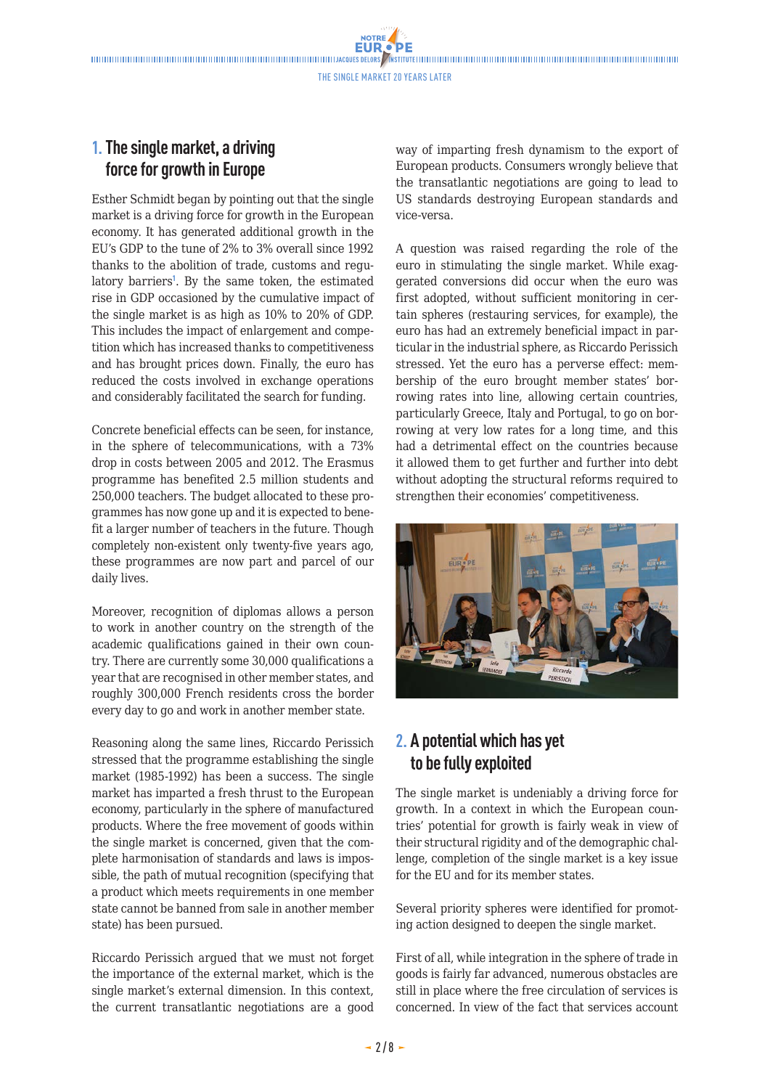## **1.The single market, a driving force for growth in Europe**

Esther Schmidt began by pointing out that the single market is a driving force for growth in the European economy. It has generated additional growth in the EU's GDP to the tune of 2% to 3% overall since 1992 thanks to the abolition of trade, customs and regulatory barriers<sup>1</sup>. By the same token, the estimated rise in GDP occasioned by the cumulative impact of the single market is as high as 10% to 20% of GDP. This includes the impact of enlargement and competition which has increased thanks to competitiveness and has brought prices down. Finally, the euro has reduced the costs involved in exchange operations and considerably facilitated the search for funding.

Concrete beneficial effects can be seen, for instance, in the sphere of telecommunications, with a 73% drop in costs between 2005 and 2012. The Erasmus programme has benefited 2.5 million students and 250,000 teachers. The budget allocated to these programmes has now gone up and it is expected to benefit a larger number of teachers in the future. Though completely non-existent only twenty-five years ago, these programmes are now part and parcel of our daily lives.

Moreover, recognition of diplomas allows a person to work in another country on the strength of the academic qualifications gained in their own country. There are currently some 30,000 qualifications a year that are recognised in other member states, and roughly 300,000 French residents cross the border every day to go and work in another member state.

Reasoning along the same lines, Riccardo Perissich stressed that the programme establishing the single market (1985-1992) has been a success. The single market has imparted a fresh thrust to the European economy, particularly in the sphere of manufactured products. Where the free movement of goods within the single market is concerned, given that the complete harmonisation of standards and laws is impossible, the path of mutual recognition (specifying that a product which meets requirements in one member state cannot be banned from sale in another member state) has been pursued.

Riccardo Perissich argued that we must not forget the importance of the external market, which is the single market's external dimension. In this context, the current transatlantic negotiations are a good

way of imparting fresh dynamism to the export of European products. Consumers wrongly believe that the transatlantic negotiations are going to lead to US standards destroying European standards and vice-versa.

A question was raised regarding the role of the euro in stimulating the single market. While exaggerated conversions did occur when the euro was first adopted, without sufficient monitoring in certain spheres (restauring services, for example), the euro has had an extremely beneficial impact in particular in the industrial sphere, as Riccardo Perissich stressed. Yet the euro has a perverse effect: membership of the euro brought member states' borrowing rates into line, allowing certain countries, particularly Greece, Italy and Portugal, to go on borrowing at very low rates for a long time, and this had a detrimental effect on the countries because it allowed them to get further and further into debt without adopting the structural reforms required to strengthen their economies' competitiveness.



## **2. A potential which has yet to be fully exploited**

The single market is undeniably a driving force for growth. In a context in which the European countries' potential for growth is fairly weak in view of their structural rigidity and of the demographic challenge, completion of the single market is a key issue for the EU and for its member states.

Several priority spheres were identified for promoting action designed to deepen the single market.

First of all, while integration in the sphere of trade in goods is fairly far advanced, numerous obstacles are still in place where the free circulation of services is concerned. In view of the fact that services account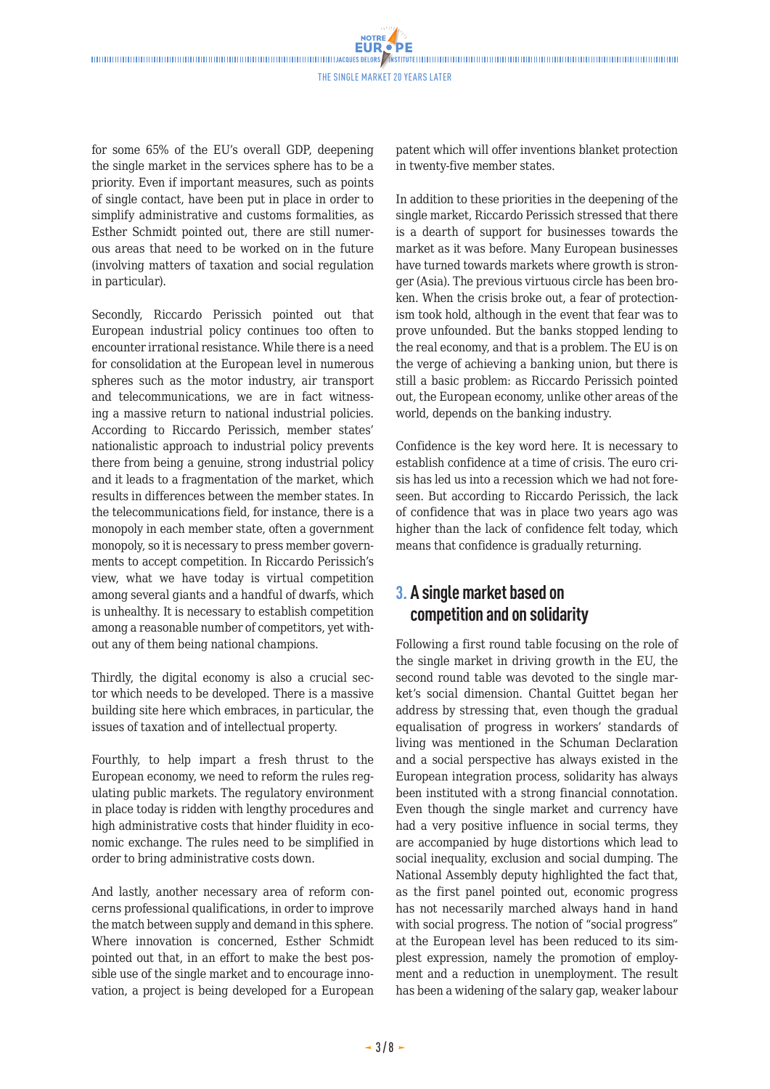for some 65% of the EU's overall GDP, deepening the single market in the services sphere has to be a priority. Even if important measures, such as points of single contact, have been put in place in order to simplify administrative and customs formalities, as Esther Schmidt pointed out, there are still numerous areas that need to be worked on in the future (involving matters of taxation and social regulation in particular).

Secondly, Riccardo Perissich pointed out that European industrial policy continues too often to encounter irrational resistance. While there is a need for consolidation at the European level in numerous spheres such as the motor industry, air transport and telecommunications, we are in fact witnessing a massive return to national industrial policies. According to Riccardo Perissich, member states' nationalistic approach to industrial policy prevents there from being a genuine, strong industrial policy and it leads to a fragmentation of the market, which results in differences between the member states. In the telecommunications field, for instance, there is a monopoly in each member state, often a government monopoly, so it is necessary to press member governments to accept competition. In Riccardo Perissich's view, what we have today is virtual competition among several giants and a handful of dwarfs, which is unhealthy. It is necessary to establish competition among a reasonable number of competitors, yet without any of them being national champions.

Thirdly, the digital economy is also a crucial sector which needs to be developed. There is a massive building site here which embraces, in particular, the issues of taxation and of intellectual property.

Fourthly, to help impart a fresh thrust to the European economy, we need to reform the rules regulating public markets. The regulatory environment in place today is ridden with lengthy procedures and high administrative costs that hinder fluidity in economic exchange. The rules need to be simplified in order to bring administrative costs down.

And lastly, another necessary area of reform concerns professional qualifications, in order to improve the match between supply and demand in this sphere. Where innovation is concerned, Esther Schmidt pointed out that, in an effort to make the best possible use of the single market and to encourage innovation, a project is being developed for a European patent which will offer inventions blanket protection in twenty-five member states.

In addition to these priorities in the deepening of the single market, Riccardo Perissich stressed that there is a dearth of support for businesses towards the market as it was before. Many European businesses have turned towards markets where growth is stronger (Asia). The previous virtuous circle has been broken. When the crisis broke out, a fear of protectionism took hold, although in the event that fear was to prove unfounded. But the banks stopped lending to the real economy, and that is a problem. The EU is on the verge of achieving a banking union, but there is still a basic problem: as Riccardo Perissich pointed out, the European economy, unlike other areas of the world, depends on the banking industry.

Confidence is the key word here. It is necessary to establish confidence at a time of crisis. The euro crisis has led us into a recession which we had not foreseen. But according to Riccardo Perissich, the lack of confidence that was in place two years ago was higher than the lack of confidence felt today, which means that confidence is gradually returning.

### **3. A single market based on competition and on solidarity**

Following a first round table focusing on the role of the single market in driving growth in the EU, the second round table was devoted to the single market's social dimension. Chantal Guittet began her address by stressing that, even though the gradual equalisation of progress in workers' standards of living was mentioned in the Schuman Declaration and a social perspective has always existed in the European integration process, solidarity has always been instituted with a strong financial connotation. Even though the single market and currency have had a very positive influence in social terms, they are accompanied by huge distortions which lead to social inequality, exclusion and social dumping. The National Assembly deputy highlighted the fact that, as the first panel pointed out, economic progress has not necessarily marched always hand in hand with social progress. The notion of "social progress" at the European level has been reduced to its simplest expression, namely the promotion of employment and a reduction in unemployment. The result has been a widening of the salary gap, weaker labour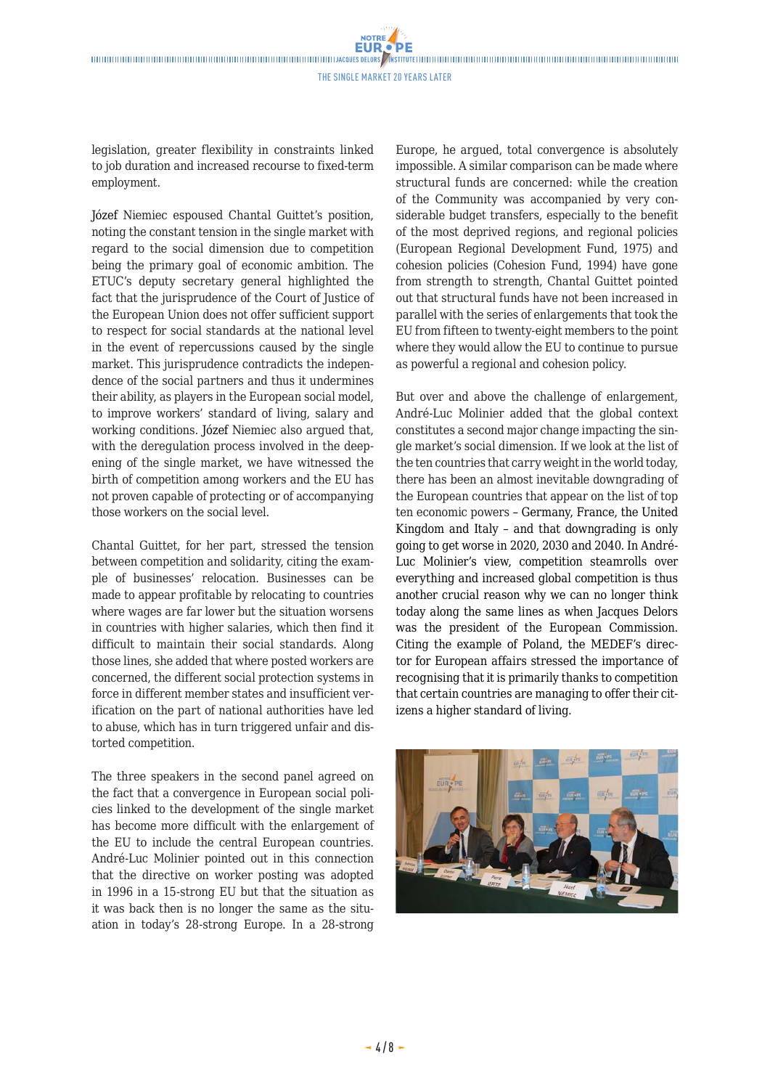The Single market 20 years later

legislation, greater flexibility in constraints linked to job duration and increased recourse to fixed-term employment.

Józef Niemiec espoused Chantal Guittet's position, noting the constant tension in the single market with regard to the social dimension due to competition being the primary goal of economic ambition. The ETUC's deputy secretary general highlighted the fact that the jurisprudence of the Court of Justice of the European Union does not offer sufficient support to respect for social standards at the national level in the event of repercussions caused by the single market. This jurisprudence contradicts the independence of the social partners and thus it undermines their ability, as players in the European social model, to improve workers' standard of living, salary and working conditions. Józef Niemiec also argued that, with the deregulation process involved in the deepening of the single market, we have witnessed the birth of competition among workers and the EU has not proven capable of protecting or of accompanying those workers on the social level.

Chantal Guittet, for her part, stressed the tension between competition and solidarity, citing the example of businesses' relocation. Businesses can be made to appear profitable by relocating to countries where wages are far lower but the situation worsens in countries with higher salaries, which then find it difficult to maintain their social standards. Along those lines, she added that where posted workers are concerned, the different social protection systems in force in different member states and insufficient verification on the part of national authorities have led to abuse, which has in turn triggered unfair and distorted competition.

The three speakers in the second panel agreed on the fact that a convergence in European social policies linked to the development of the single market has become more difficult with the enlargement of the EU to include the central European countries. André-Luc Molinier pointed out in this connection that the directive on worker posting was adopted in 1996 in a 15-strong EU but that the situation as it was back then is no longer the same as the situation in today's 28-strong Europe. In a 28-strong Europe, he argued, total convergence is absolutely impossible. A similar comparison can be made where structural funds are concerned: while the creation of the Community was accompanied by very considerable budget transfers, especially to the benefit of the most deprived regions, and regional policies (European Regional Development Fund, 1975) and cohesion policies (Cohesion Fund, 1994) have gone from strength to strength, Chantal Guittet pointed out that structural funds have not been increased in parallel with the series of enlargements that took the EU from fifteen to twenty-eight members to the point where they would allow the EU to continue to pursue as powerful a regional and cohesion policy.

But over and above the challenge of enlargement, André-Luc Molinier added that the global context constitutes a second major change impacting the single market's social dimension. If we look at the list of the ten countries that carry weight in the world today, there has been an almost inevitable downgrading of the European countries that appear on the list of top ten economic powers – Germany, France, the United Kingdom and Italy – and that downgrading is only going to get worse in 2020, 2030 and 2040. In André-Luc Molinier's view, competition steamrolls over everything and increased global competition is thus another crucial reason why we can no longer think today along the same lines as when Jacques Delors was the president of the European Commission. Citing the example of Poland, the MEDEF's director for European affairs stressed the importance of recognising that it is primarily thanks to competition that certain countries are managing to offer their citizens a higher standard of living.

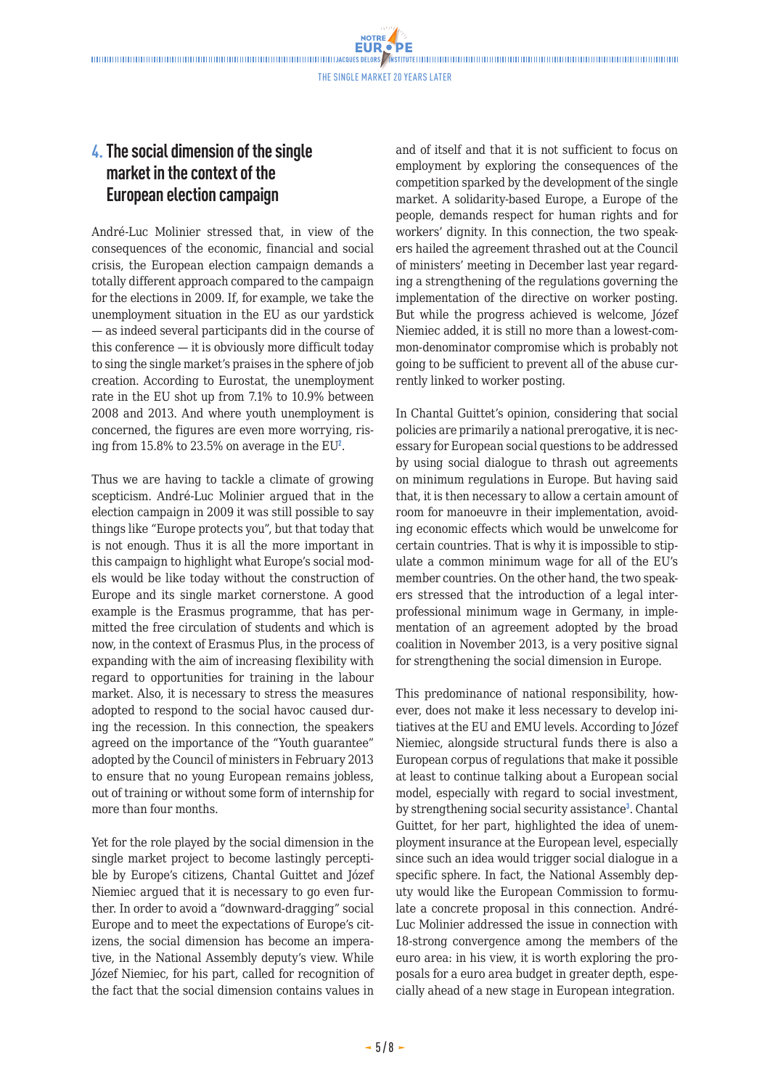**NOTRE EUR.** 

## **4.The social dimension of the single market in the context of the European election campaign**

André-Luc Molinier stressed that, in view of the consequences of the economic, financial and social crisis, the European election campaign demands a totally different approach compared to the campaign for the elections in 2009. If, for example, we take the unemployment situation in the EU as our yardstick — as indeed several participants did in the course of this conference — it is obviously more difficult today to sing the single market's praises in the sphere of job creation. According to Eurostat, the unemployment rate in the EU shot up from 7.1% to 10.9% between 2008 and 2013. And where youth unemployment is concerned, the figures are even more worrying, rising from  $15.8\%$  to  $23.5\%$  on average in the EU<sup>2</sup>.

Thus we are having to tackle a climate of growing scepticism. André-Luc Molinier argued that in the election campaign in 2009 it was still possible to say things like "Europe protects you", but that today that is not enough. Thus it is all the more important in this campaign to highlight what Europe's social models would be like today without the construction of Europe and its single market cornerstone. A good example is the Erasmus programme, that has permitted the free circulation of students and which is now, in the context of Erasmus Plus, in the process of expanding with the aim of increasing flexibility with regard to opportunities for training in the labour market. Also, it is necessary to stress the measures adopted to respond to the social havoc caused during the recession. In this connection, the speakers agreed on the importance of the "Youth guarantee" adopted by the Council of ministers in February 2013 to ensure that no young European remains jobless, out of training or without some form of internship for more than four months.

Yet for the role played by the social dimension in the single market project to become lastingly perceptible by Europe's citizens, Chantal Guittet and Józef Niemiec argued that it is necessary to go even further. In order to avoid a "downward-dragging" social Europe and to meet the expectations of Europe's citizens, the social dimension has become an imperative, in the National Assembly deputy's view. While Józef Niemiec, for his part, called for recognition of the fact that the social dimension contains values in and of itself and that it is not sufficient to focus on employment by exploring the consequences of the competition sparked by the development of the single market. A solidarity-based Europe, a Europe of the people, demands respect for human rights and for workers' dignity. In this connection, the two speakers hailed the agreement thrashed out at the Council of ministers' meeting in December last year regarding a strengthening of the regulations governing the implementation of the directive on worker posting. But while the progress achieved is welcome, Józef Niemiec added, it is still no more than a lowest-common-denominator compromise which is probably not going to be sufficient to prevent all of the abuse currently linked to worker posting.

In Chantal Guittet's opinion, considering that social policies are primarily a national prerogative, it is necessary for European social questions to be addressed by using social dialogue to thrash out agreements on minimum regulations in Europe. But having said that, it is then necessary to allow a certain amount of room for manoeuvre in their implementation, avoiding economic effects which would be unwelcome for certain countries. That is why it is impossible to stipulate a common minimum wage for all of the EU's member countries. On the other hand, the two speakers stressed that the introduction of a legal interprofessional minimum wage in Germany, in implementation of an agreement adopted by the broad coalition in November 2013, is a very positive signal for strengthening the social dimension in Europe.

This predominance of national responsibility, however, does not make it less necessary to develop initiatives at the EU and EMU levels. According to Józef Niemiec, alongside structural funds there is also a European corpus of regulations that make it possible at least to continue talking about a European social model, especially with regard to social investment, by strengthening social security assistance<sup>3</sup>. Chantal Guittet, for her part, highlighted the idea of unemployment insurance at the European level, especially since such an idea would trigger social dialogue in a specific sphere. In fact, the National Assembly deputy would like the European Commission to formulate a concrete proposal in this connection. André-Luc Molinier addressed the issue in connection with 18-strong convergence among the members of the euro area: in his view, it is worth exploring the proposals for a euro area budget in greater depth, especially ahead of a new stage in European integration.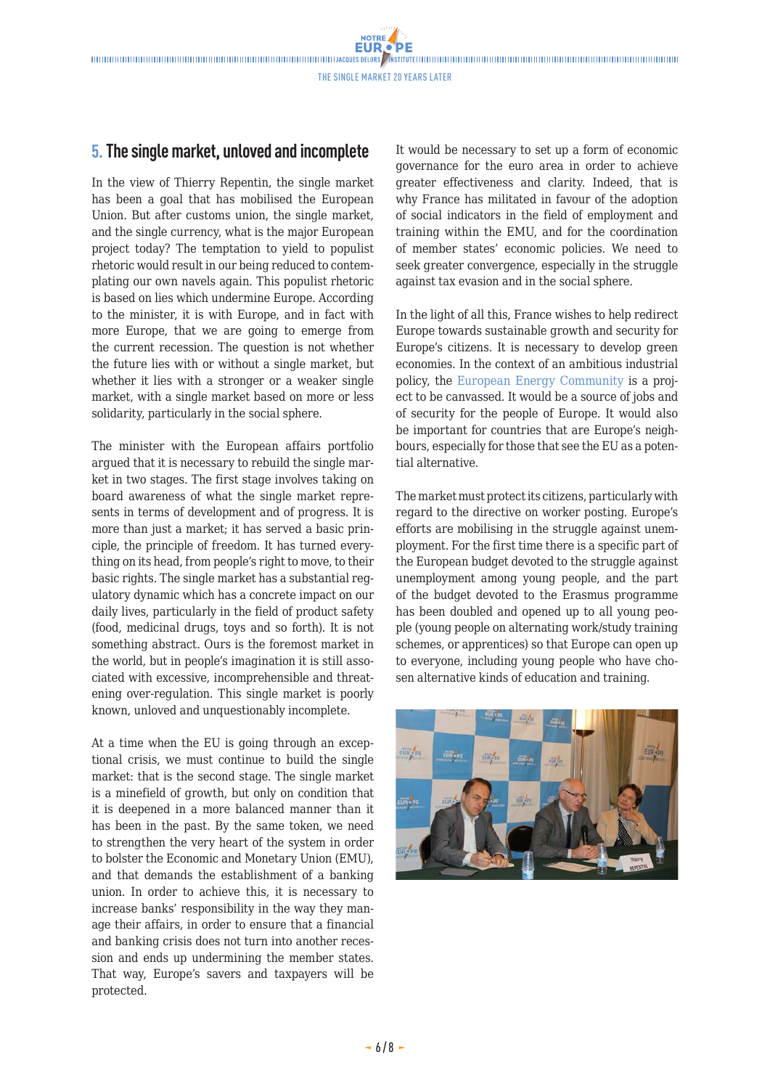NOTRE

#### **5. The single market, unloved and incomplete**

In the view of Thierry Repentin, the single market has been a goal that has mobilised the European Union. But after customs union, the single market, and the single currency, what is the major European project today? The temptation to yield to populist rhetoric would result in our being reduced to contemplating our own navels again. This populist rhetoric is based on lies which undermine Europe. According to the minister, it is with Europe, and in fact with more Europe, that we are going to emerge from the current recession. The question is not whether the future lies with or without a single market, but whether it lies with a stronger or a weaker single market, with a single market based on more or less solidarity, particularly in the social sphere.

The minister with the European affairs portfolio argued that it is necessary to rebuild the single market in two stages. The first stage involves taking on board awareness of what the single market represents in terms of development and of progress. It is more than just a market; it has served a basic principle, the principle of freedom. It has turned everything on its head, from people's right to move, to their basic rights. The single market has a substantial regulatory dynamic which has a concrete impact on our daily lives, particularly in the field of product safety (food, medicinal drugs, toys and so forth). It is not something abstract. Ours is the foremost market in the world, but in people's imagination it is still associated with excessive, incomprehensible and threatening over-regulation. This single market is poorly known, unloved and unquestionably incomplete.

At a time when the EU is going through an exceptional crisis, we must continue to build the single market: that is the second stage. The single market is a minefield of growth, but only on condition that it is deepened in a more balanced manner than it has been in the past. By the same token, we need to strengthen the very heart of the system in order to bolster the Economic and Monetary Union (EMU), and that demands the establishment of a banking union. In order to achieve this, it is necessary to increase banks' responsibility in the way they manage their affairs, in order to ensure that a financial and banking crisis does not turn into another recession and ends up undermining the member states. That way, Europe's savers and taxpayers will be protected.

It would be necessary to set up a form of economic governance for the euro area in order to achieve greater effectiveness and clarity. Indeed, that is why France has militated in favour of the adoption of social indicators in the field of employment and training within the EMU, and for the coordination of member states' economic policies. We need to seek greater convergence, especially in the struggle against tax evasion and in the social sphere.

In the light of all this, France wishes to help redirect Europe towards sustainable growth and security for Europe's citizens. It is necessary to develop green economies. In the context of an ambitious industrial policy, the [European Energy Community](http://www.eng.notre-europe.eu/011015-101-European-Energy-Community.html) is a project to be canvassed. It would be a source of jobs and of security for the people of Europe. It would also be important for countries that are Europe's neighbours, especially for those that see the EU as a potential alternative.

The market must protect its citizens, particularly with regard to the directive on worker posting. Europe's efforts are mobilising in the struggle against unemployment. For the first time there is a specific part of the European budget devoted to the struggle against unemployment among young people, and the part of the budget devoted to the Erasmus programme has been doubled and opened up to all young people (young people on alternating work/study training schemes, or apprentices) so that Europe can open up to everyone, including young people who have chosen alternative kinds of education and training.

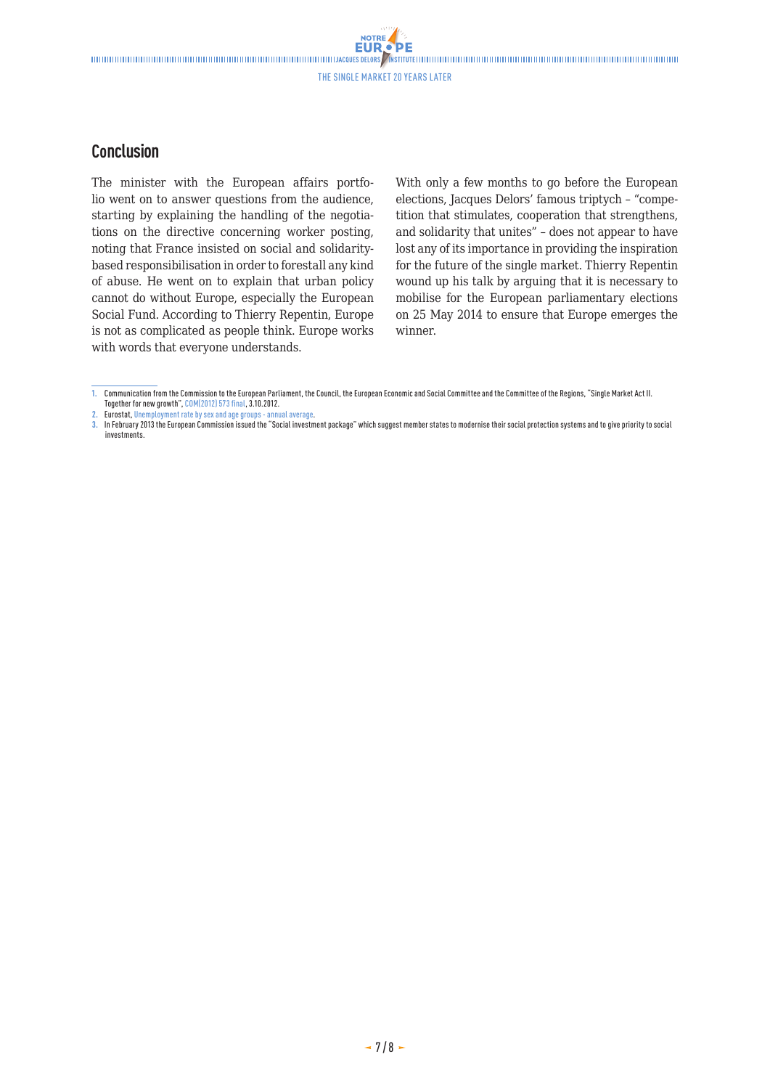**NOTRE** 

#### **Conclusion**

The minister with the European affairs portfolio went on to answer questions from the audience, starting by explaining the handling of the negotiations on the directive concerning worker posting, noting that France insisted on social and solidaritybased responsibilisation in order to forestall any kind of abuse. He went on to explain that urban policy cannot do without Europe, especially the European Social Fund. According to Thierry Repentin, Europe is not as complicated as people think. Europe works with words that everyone understands.

With only a few months to go before the European elections, Jacques Delors' famous triptych – "competition that stimulates, cooperation that strengthens, and solidarity that unites" – does not appear to have lost any of its importance in providing the inspiration for the future of the single market. Thierry Repentin wound up his talk by arguing that it is necessary to mobilise for the European parliamentary elections on 25 May 2014 to ensure that Europe emerges the winner.

**2.** Eurostat, [Unemployment rate by sex and age groups - annual average](http://appsso.eurostat.ec.europa.eu/nui/show.do?dataset=une_rt_a&lang=en).

**<sup>1.</sup>** Communication from the Commission to the European Parliament, the Council, the European Economic and Social Committee and the Committee of the Regions, "Single Market Act II. Together for new growth", [COM\(2012\) 573 final,](http://ec.europa.eu/internal_market/smact/docs/single-market-act2_en.pdf) 3.10.2012.

**<sup>3.</sup>** In February 2013 the European Commission issued the "Social investment package" which suggest member states to modernise their social protection systems and to give priority to social investments.